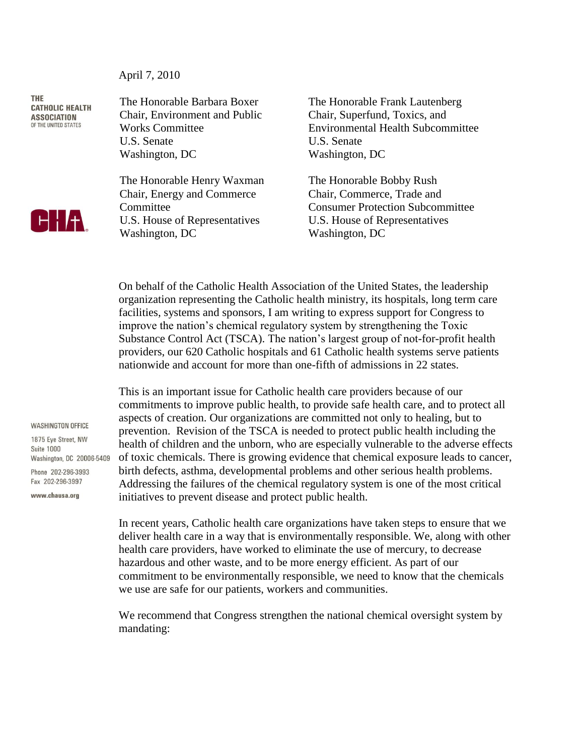April 7, 2010

**THE CATHOLIC HEALTH ASSOCIATION** *<u>OF THE UNITED STATES</u>* 



The Honorable Barbara Boxer Chair, Environment and Public Works Committee U.S. Senate Washington, DC

The Honorable Henry Waxman Chair, Energy and Commerce **Committee** U.S. House of Representatives Washington, DC

The Honorable Frank Lautenberg Chair, Superfund, Toxics, and Environmental Health Subcommittee U.S. Senate Washington, DC

The Honorable Bobby Rush Chair, Commerce, Trade and Consumer Protection Subcommittee U.S. House of Representatives Washington, DC

On behalf of the Catholic Health Association of the United States, the leadership organization representing the Catholic health ministry, its hospitals, long term care facilities, systems and sponsors, I am writing to express support for Congress to improve the nation's chemical regulatory system by strengthening the Toxic Substance Control Act (TSCA). The nation's largest group of not-for-profit health providers, our 620 Catholic hospitals and 61 Catholic health systems serve patients nationwide and account for more than one-fifth of admissions in 22 states.

This is an important issue for Catholic health care providers because of our commitments to improve public health, to provide safe health care, and to protect all aspects of creation. Our organizations are committed not only to healing, but to prevention. Revision of the TSCA is needed to protect public health including the health of children and the unborn, who are especially vulnerable to the adverse effects of toxic chemicals. There is growing evidence that chemical exposure leads to cancer, birth defects, asthma, developmental problems and other serious health problems. Addressing the failures of the chemical regulatory system is one of the most critical initiatives to prevent disease and protect public health.

In recent years, Catholic health care organizations have taken steps to ensure that we deliver health care in a way that is environmentally responsible. We, along with other health care providers, have worked to eliminate the use of mercury, to decrease hazardous and other waste, and to be more energy efficient. As part of our commitment to be environmentally responsible, we need to know that the chemicals we use are safe for our patients, workers and communities.

We recommend that Congress strengthen the national chemical oversight system by mandating:

**WASHINGTON OFFICE** 

1875 Eve Street, NW **Suite 1000** Washington, DC 20006-5409 Phone 202-296-3993 Fax 202-296-3997

www.chausa.org